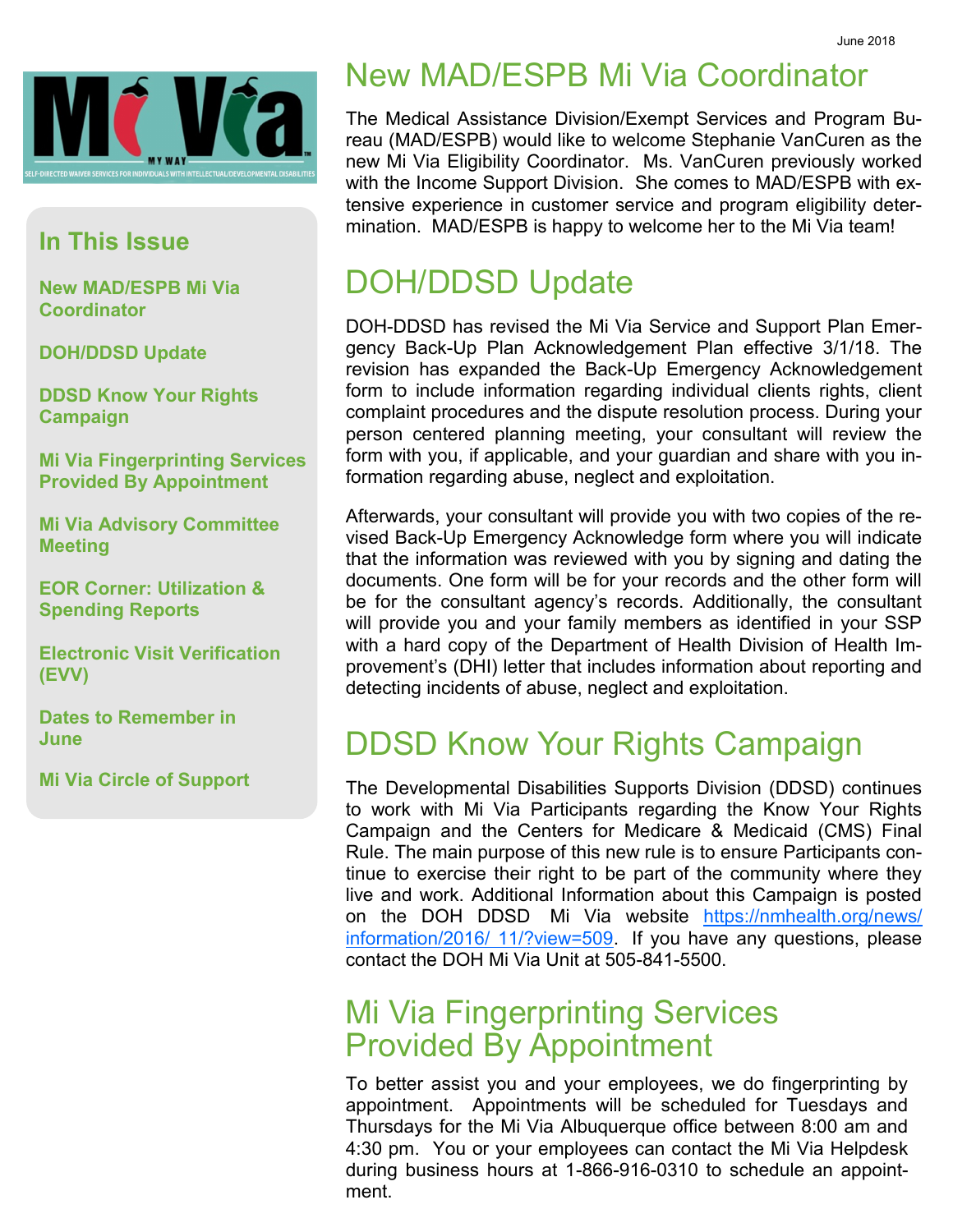

#### **In This Issue**

**New MAD/ESPB Mi Via Coordinator**

**DOH/DDSD Update**

**DDSD Know Your Rights Campaign**

**Mi Via Fingerprinting Services Provided By Appointment**

**Mi Via Advisory Committee Meeting**

**EOR Corner: Utilization & Spending Reports**

**Electronic Visit Verification (EVV)**

**Dates to Remember in June**

**Mi Via Circle of Support**

## New MAD/ESPB Mi Via Coordinator

The Medical Assistance Division/Exempt Services and Program Bureau (MAD/ESPB) would like to welcome Stephanie VanCuren as the new Mi Via Eligibility Coordinator. Ms. VanCuren previously worked with the Income Support Division. She comes to MAD/ESPB with extensive experience in customer service and program eligibility determination. MAD/ESPB is happy to welcome her to the Mi Via team!

### DOH/DDSD Update

DOH-DDSD has revised the Mi Via Service and Support Plan Emergency Back-Up Plan Acknowledgement Plan effective 3/1/18. The revision has expanded the Back-Up Emergency Acknowledgement form to include information regarding individual clients rights, client complaint procedures and the dispute resolution process. During your person centered planning meeting, your consultant will review the form with you, if applicable, and your guardian and share with you information regarding abuse, neglect and exploitation.

Afterwards, your consultant will provide you with two copies of the revised Back-Up Emergency Acknowledge form where you will indicate that the information was reviewed with you by signing and dating the documents. One form will be for your records and the other form will be for the consultant agency's records. Additionally, the consultant will provide you and your family members as identified in your SSP with a hard copy of the Department of Health Division of Health Improvement's (DHI) letter that includes information about reporting and detecting incidents of abuse, neglect and exploitation.

#### DDSD Know Your Rights Campaign

The Developmental Disabilities Supports Division (DDSD) continues to work with Mi Via Participants regarding the Know Your Rights Campaign and the Centers for Medicare & Medicaid (CMS) Final Rule. The main purpose of this new rule is to ensure Participants continue to exercise their right to be part of the community where they live and work. Additional Information about this Campaign is posted on the DOH DDSD Mi Via website [https://nmhealth.org/news/](https://nmhealth.org/news/information/2016/11/?view=509) [information/2016/ 11/?view=509.](https://nmhealth.org/news/information/2016/11/?view=509) If you have any questions, please contact the DOH Mi Via Unit at 505-841-5500.

#### Mi Via Fingerprinting Services Provided By Appointment

To better assist you and your employees, we do fingerprinting by appointment. Appointments will be scheduled for Tuesdays and Thursdays for the Mi Via Albuquerque office between 8:00 am and 4:30 pm. You or your employees can contact the Mi Via Helpdesk during business hours at 1-866-916-0310 to schedule an appointment.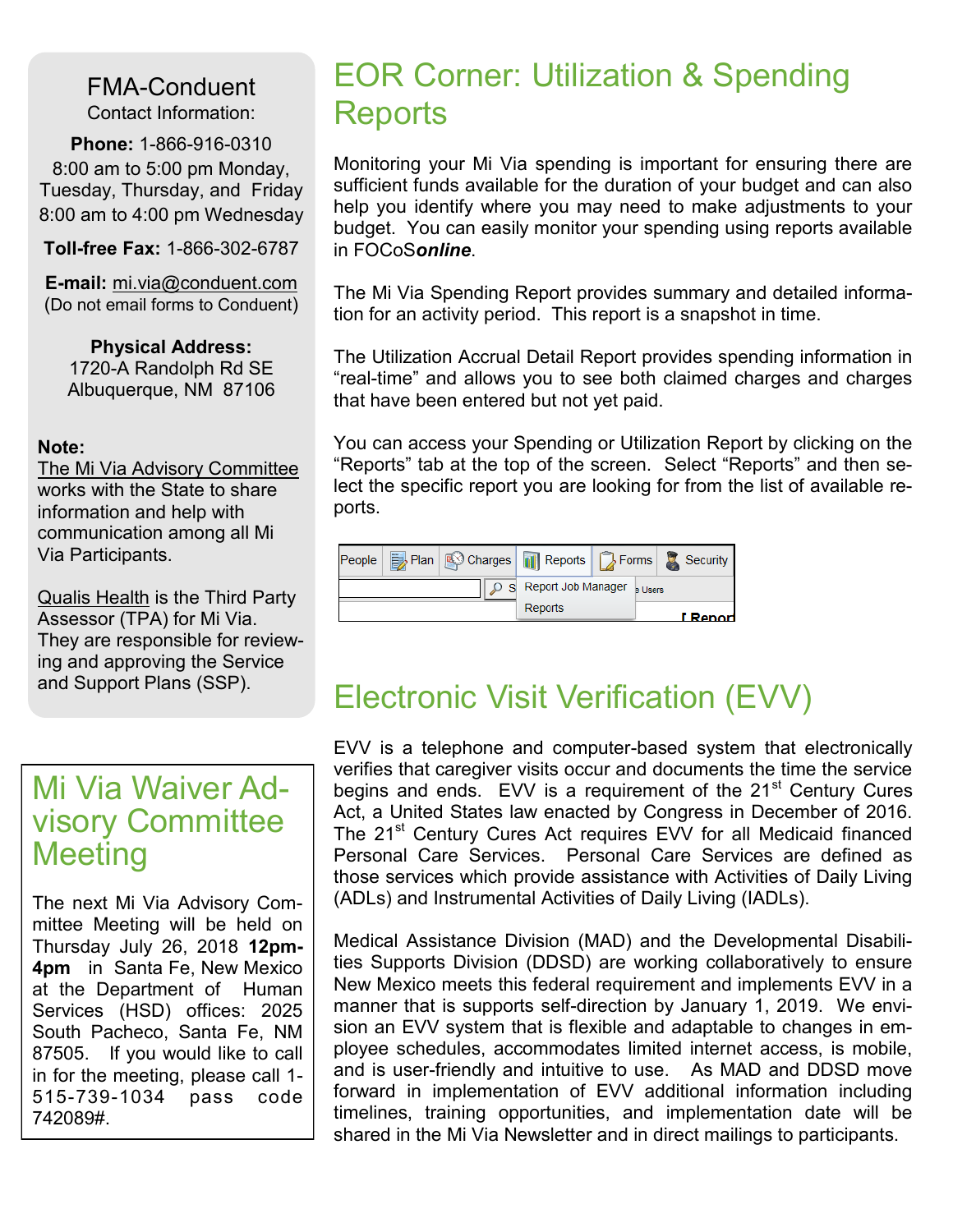FMA-Conduent Contact Information:

**Phone:** 1-866-916-0310 8:00 am to 5:00 pm Monday, Tuesday, Thursday, and Friday 8:00 am to 4:00 pm Wednesday

**Toll-free Fax:** 1-866-302-6787

**E-mail:** mi.via@conduent.com (Do not email forms to Conduent)

**Physical Address:** 1720-A Randolph Rd SE Albuquerque, NM 87106

#### **Note:**

The Mi Via Advisory Committee works with the State to share information and help with communication among all Mi Via Participants.

Qualis Health is the Third Party Assessor (TPA) for Mi Via. They are responsible for reviewing and approving the Service and Support Plans (SSP).

#### Mi Via Waiver Advisory Committee **Meeting**

The next Mi Via Advisory Committee Meeting will be held on Thursday July 26, 2018 **12pm-4pm** in Santa Fe, New Mexico at the Department of Human Services (HSD) offices: 2025 South Pacheco, Santa Fe, NM 87505. If you would like to call in for the meeting, please call 1- 515-739-1034 pass code 742089#.

#### EOR Corner: Utilization & Spending **Reports**

Monitoring your Mi Via spending is important for ensuring there are sufficient funds available for the duration of your budget and can also help you identify where you may need to make adjustments to your budget. You can easily monitor your spending using reports available in FOCoS*online*.

The Mi Via Spending Report provides summary and detailed information for an activity period. This report is a snapshot in time.

The Utilization Accrual Detail Report provides spending information in "real-time" and allows you to see both claimed charges and charges that have been entered but not yet paid.

You can access your Spending or Utilization Report by clicking on the "Reports" tab at the top of the screen. Select "Reports" and then select the specific report you are looking for from the list of available reports.

|  |                                                  |  | People <b>B</b> Plan <b>C</b> Charges <b>R</b> Reports <b>B</b> Forms <b>B</b> Security |  |
|--|--------------------------------------------------|--|-----------------------------------------------------------------------------------------|--|
|  | $\circ$ S Report Job Manager $\frac{1}{3}$ Users |  |                                                                                         |  |
|  | Reports                                          |  | I Report                                                                                |  |

#### Electronic Visit Verification (EVV)

EVV is a telephone and computer-based system that electronically verifies that caregiver visits occur and documents the time the service begins and ends. EVV is a requirement of the 21<sup>st</sup> Century Cures Act, a United States law enacted by Congress in December of 2016. The 21<sup>st</sup> Century Cures Act requires EVV for all Medicaid financed Personal Care Services. Personal Care Services are defined as those services which provide assistance with Activities of Daily Living (ADLs) and Instrumental Activities of Daily Living (IADLs).

Medical Assistance Division (MAD) and the Developmental Disabilities Supports Division (DDSD) are working collaboratively to ensure New Mexico meets this federal requirement and implements EVV in a manner that is supports self-direction by January 1, 2019. We envision an EVV system that is flexible and adaptable to changes in employee schedules, accommodates limited internet access, is mobile, and is user-friendly and intuitive to use. As MAD and DDSD move forward in implementation of EVV additional information including timelines, training opportunities, and implementation date will be shared in the Mi Via Newsletter and in direct mailings to participants.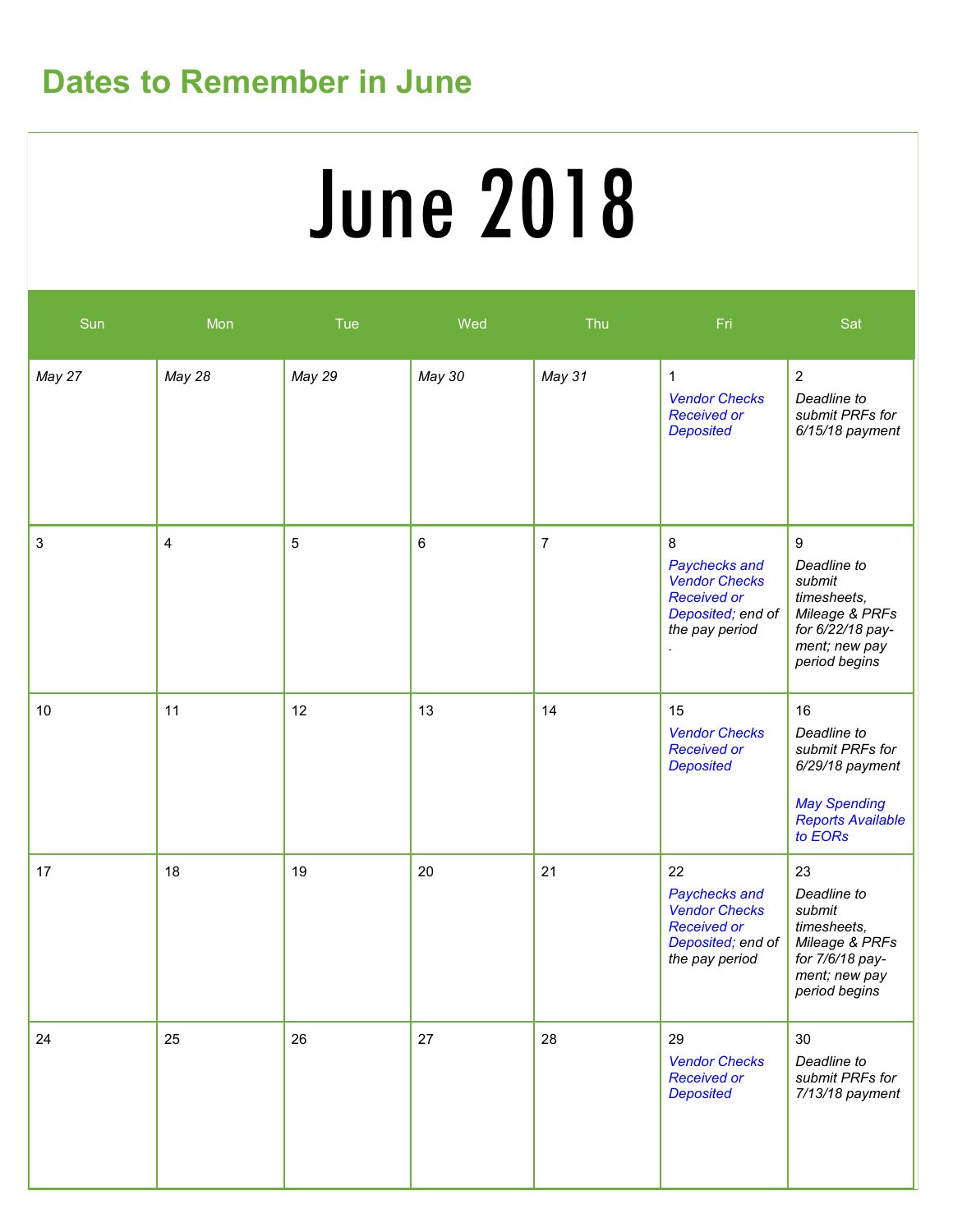# **Dates to Remember in June**

# June 2018

| Sun                       | Mon    | Tue        | Wed    | Thu            | Fri                                                                                                      | Sat                                                                                                                              |
|---------------------------|--------|------------|--------|----------------|----------------------------------------------------------------------------------------------------------|----------------------------------------------------------------------------------------------------------------------------------|
| May 27                    | May 28 | May 29     | May 30 | May 31         | $\mathbf 1$<br><b>Vendor Checks</b><br><b>Received or</b><br><b>Deposited</b>                            | $\overline{2}$<br>Deadline to<br>submit PRFs for<br>$6/15/18$ payment                                                            |
| $\ensuremath{\mathsf{3}}$ | 4      | $\sqrt{5}$ | 6      | $\overline{7}$ | 8<br>Paychecks and<br><b>Vendor Checks</b><br><b>Received or</b><br>Deposited; end of<br>the pay period  | $\boldsymbol{9}$<br>Deadline to<br>submit<br>timesheets,<br>Mileage & PRFs<br>for 6/22/18 pay-<br>ment; new pay<br>period begins |
| 10                        | 11     | 12         | 13     | 14             | 15<br><b>Vendor Checks</b><br><b>Received or</b><br><b>Deposited</b>                                     | 16<br>Deadline to<br>submit PRFs for<br>6/29/18 payment<br><b>May Spending</b><br><b>Reports Available</b><br>to EORs            |
| 17                        | 18     | 19         | 20     | 21             | 22<br>Paychecks and<br><b>Vendor Checks</b><br><b>Received or</b><br>Deposited; end of<br>the pay period | 23<br>Deadline to<br>submit<br>timesheets,<br>Mileage & PRFs<br>for 7/6/18 pay-<br>ment; new pay<br>period begins                |
| 24                        | 25     | 26         | 27     | 28             | 29<br><b>Vendor Checks</b><br><b>Received or</b><br><b>Deposited</b>                                     | 30<br>Deadline to<br>submit PRFs for<br>7/13/18 payment                                                                          |